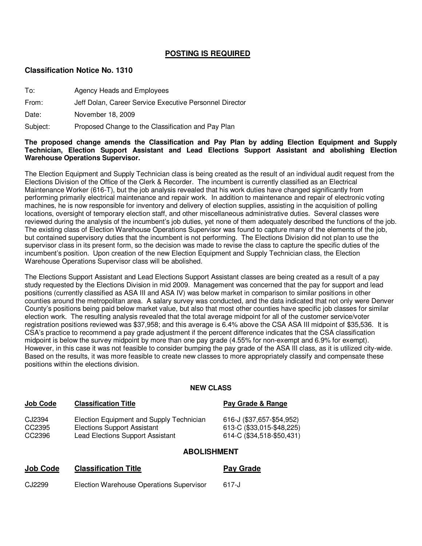#### **POSTING IS REQUIRED**

#### **Classification Notice No. 1310**

| To:   | Agency Heads and Employees                              |
|-------|---------------------------------------------------------|
| From: | Jeff Dolan, Career Service Executive Personnel Director |
| Date: | November 18, 2009                                       |

Subject: Proposed Change to the Classification and Pay Plan

#### **The proposed change amends the Classification and Pay Plan by adding Election Equipment and Supply Technician, Election Support Assistant and Lead Elections Support Assistant and abolishing Election Warehouse Operations Supervisor.**

The Election Equipment and Supply Technician class is being created as the result of an individual audit request from the Elections Division of the Office of the Clerk & Recorder. The incumbent is currently classified as an Electrical Maintenance Worker (616-T), but the job analysis revealed that his work duties have changed significantly from performing primarily electrical maintenance and repair work. In addition to maintenance and repair of electronic voting machines, he is now responsible for inventory and delivery of election supplies, assisting in the acquisition of polling locations, oversight of temporary election staff, and other miscellaneous administrative duties. Several classes were reviewed during the analysis of the incumbent's job duties, yet none of them adequately described the functions of the job. The existing class of Election Warehouse Operations Supervisor was found to capture many of the elements of the job, but contained supervisory duties that the incumbent is not performing. The Elections Division did not plan to use the supervisor class in its present form, so the decision was made to revise the class to capture the specific duties of the incumbent's position. Upon creation of the new Election Equipment and Supply Technician class, the Election Warehouse Operations Supervisor class will be abolished.

The Elections Support Assistant and Lead Elections Support Assistant classes are being created as a result of a pay study requested by the Elections Division in mid 2009. Management was concerned that the pay for support and lead positions (currently classified as ASA III and ASA IV) was below market in comparison to similar positions in other counties around the metropolitan area. A salary survey was conducted, and the data indicated that not only were Denver County's positions being paid below market value, but also that most other counties have specific job classes for similar election work. The resulting analysis revealed that the total average midpoint for all of the customer service/voter registration positions reviewed was \$37,958; and this average is 6.4% above the CSA ASA III midpoint of \$35,536. It is CSA's practice to recommend a pay grade adjustment if the percent difference indicates that the CSA classification midpoint is below the survey midpoint by more than one pay grade (4.55% for non-exempt and 6.9% for exempt). However, in this case it was not feasible to consider bumping the pay grade of the ASA III class, as it is utilized city-wide. Based on the results, it was more feasible to create new classes to more appropriately classify and compensate these positions within the elections division.

#### **NEW CLASS**

| <b>Job Code</b> | <b>Classification Title</b> | Pay Grade & Range |
|-----------------|-----------------------------|-------------------|
|                 |                             |                   |

| CJ2394 | Election Equipment and Supply Technician | 616-J (\$37,657-\$54,952) |
|--------|------------------------------------------|---------------------------|
| CC2395 | Elections Support Assistant              | 613-C (\$33,015-\$48,225) |
| CC2396 | <b>Lead Elections Support Assistant</b>  | 614-C (\$34,518-\$50,431) |
|        |                                          |                           |

#### **ABOLISHMENT**

**Job Code Classification Title Pay Grade**

CJ2299 Election Warehouse Operations Supervisor 617-J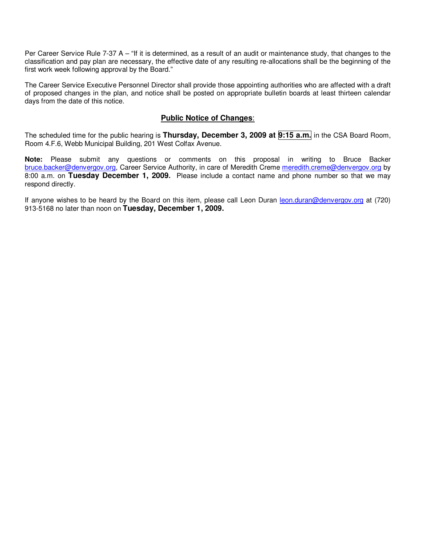Per Career Service Rule 7-37 A – "If it is determined, as a result of an audit or maintenance study, that changes to the classification and pay plan are necessary, the effective date of any resulting re-allocations shall be the beginning of the first work week following approval by the Board."

The Career Service Executive Personnel Director shall provide those appointing authorities who are affected with a draft of proposed changes in the plan, and notice shall be posted on appropriate bulletin boards at least thirteen calendar days from the date of this notice.

#### **Public Notice of Changes**:

The scheduled time for the public hearing is **Thursday, December 3, 2009 at 9:15 a.m.** in the CSA Board Room, Room 4.F.6, Webb Municipal Building, 201 West Colfax Avenue.

**Note:** Please submit any questions or comments on this proposal in writing to Bruce Backer bruce.backer@denvergov.org, Career Service Authority, in care of Meredith Creme meredith.creme@denvergov.org by 8:00 a.m. on **Tuesday December 1, 2009.** Please include a contact name and phone number so that we may respond directly.

If anyone wishes to be heard by the Board on this item, please call Leon Duran leon.duran@denvergov.org at (720) 913-5168 no later than noon on **Tuesday, December 1, 2009.**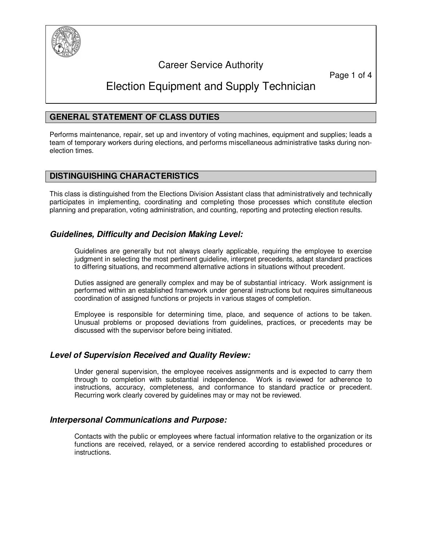

# Career Service Authority

Page 1 of 4

# Election Equipment and Supply Technician

#### **GENERAL STATEMENT OF CLASS DUTIES**

Performs maintenance, repair, set up and inventory of voting machines, equipment and supplies; leads a team of temporary workers during elections, and performs miscellaneous administrative tasks during nonelection times.

#### **DISTINGUISHING CHARACTERISTICS**

This class is distinguished from the Elections Division Assistant class that administratively and technically participates in implementing, coordinating and completing those processes which constitute election planning and preparation, voting administration, and counting, reporting and protecting election results.

#### **Guidelines, Difficulty and Decision Making Level:**

Guidelines are generally but not always clearly applicable, requiring the employee to exercise judgment in selecting the most pertinent guideline, interpret precedents, adapt standard practices to differing situations, and recommend alternative actions in situations without precedent.

Duties assigned are generally complex and may be of substantial intricacy. Work assignment is performed within an established framework under general instructions but requires simultaneous coordination of assigned functions or projects in various stages of completion.

Employee is responsible for determining time, place, and sequence of actions to be taken. Unusual problems or proposed deviations from guidelines, practices, or precedents may be discussed with the supervisor before being initiated.

#### **Level of Supervision Received and Quality Review:**

Under general supervision, the employee receives assignments and is expected to carry them through to completion with substantial independence. Work is reviewed for adherence to instructions, accuracy, completeness, and conformance to standard practice or precedent. Recurring work clearly covered by guidelines may or may not be reviewed.

#### **Interpersonal Communications and Purpose:**

Contacts with the public or employees where factual information relative to the organization or its functions are received, relayed, or a service rendered according to established procedures or instructions.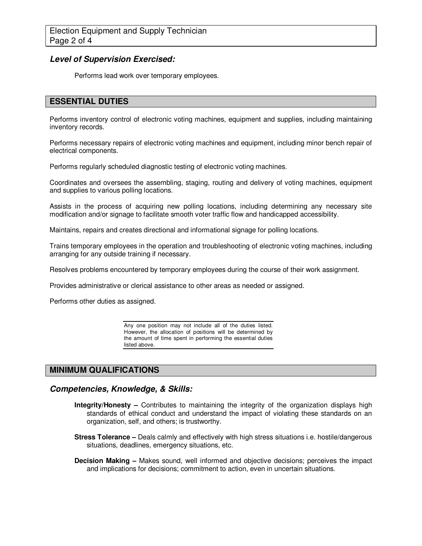#### **Level of Supervision Exercised:**

Performs lead work over temporary employees.

#### **ESSENTIAL DUTIES**

Performs inventory control of electronic voting machines, equipment and supplies, including maintaining inventory records.

Performs necessary repairs of electronic voting machines and equipment, including minor bench repair of electrical components.

Performs regularly scheduled diagnostic testing of electronic voting machines.

Coordinates and oversees the assembling, staging, routing and delivery of voting machines, equipment and supplies to various polling locations.

Assists in the process of acquiring new polling locations, including determining any necessary site modification and/or signage to facilitate smooth voter traffic flow and handicapped accessibility.

Maintains, repairs and creates directional and informational signage for polling locations.

Trains temporary employees in the operation and troubleshooting of electronic voting machines, including arranging for any outside training if necessary.

Resolves problems encountered by temporary employees during the course of their work assignment.

Provides administrative or clerical assistance to other areas as needed or assigned.

Performs other duties as assigned.

Any one position may not include all of the duties listed. However, the allocation of positions will be determined by the amount of time spent in performing the essential duties listed above.

#### **MINIMUM QUALIFICATIONS**

**Competencies, Knowledge, & Skills:** 

- **Integrity/Honesty** Contributes to maintaining the integrity of the organization displays high standards of ethical conduct and understand the impact of violating these standards on an organization, self, and others; is trustworthy.
- **Stress Tolerance** Deals calmly and effectively with high stress situations i.e. hostile/dangerous situations, deadlines, emergency situations, etc.
- **Decision Making** Makes sound, well informed and objective decisions; perceives the impact and implications for decisions; commitment to action, even in uncertain situations.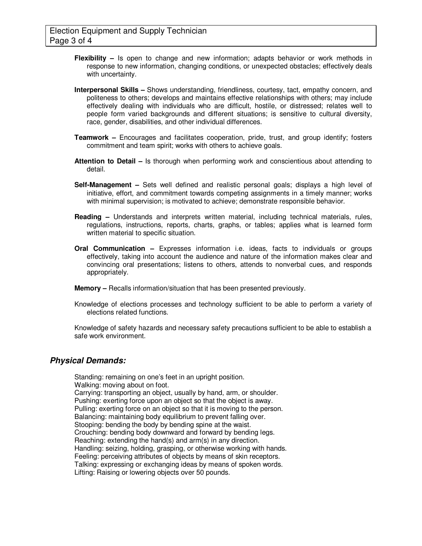- **Flexibility** Is open to change and new information; adapts behavior or work methods in response to new information, changing conditions, or unexpected obstacles; effectively deals with uncertainty.
- **Interpersonal Skills** Shows understanding, friendliness, courtesy, tact, empathy concern, and politeness to others; develops and maintains effective relationships with others; may include effectively dealing with individuals who are difficult, hostile, or distressed; relates well to people form varied backgrounds and different situations; is sensitive to cultural diversity, race, gender, disabilities, and other individual differences.
- **Teamwork** Encourages and facilitates cooperation, pride, trust, and group identify; fosters commitment and team spirit; works with others to achieve goals.
- **Attention to Detail** Is thorough when performing work and conscientious about attending to detail.
- **Self-Management** Sets well defined and realistic personal goals; displays a high level of initiative, effort, and commitment towards competing assignments in a timely manner; works with minimal supervision; is motivated to achieve; demonstrate responsible behavior.
- **Reading** Understands and interprets written material, including technical materials, rules, regulations, instructions, reports, charts, graphs, or tables; applies what is learned form written material to specific situation.
- **Oral Communication** Expresses information i.e. ideas, facts to individuals or groups effectively, taking into account the audience and nature of the information makes clear and convincing oral presentations; listens to others, attends to nonverbal cues, and responds appropriately.
- **Memory** Recalls information/situation that has been presented previously.
- Knowledge of elections processes and technology sufficient to be able to perform a variety of elections related functions.

Knowledge of safety hazards and necessary safety precautions sufficient to be able to establish a safe work environment.

#### **Physical Demands:**

Standing: remaining on one's feet in an upright position. Walking: moving about on foot. Carrying: transporting an object, usually by hand, arm, or shoulder. Pushing: exerting force upon an object so that the object is away. Pulling: exerting force on an object so that it is moving to the person. Balancing: maintaining body equilibrium to prevent falling over. Stooping: bending the body by bending spine at the waist. Crouching: bending body downward and forward by bending legs. Reaching: extending the hand(s) and arm(s) in any direction. Handling: seizing, holding, grasping, or otherwise working with hands. Feeling: perceiving attributes of objects by means of skin receptors. Talking: expressing or exchanging ideas by means of spoken words. Lifting: Raising or lowering objects over 50 pounds.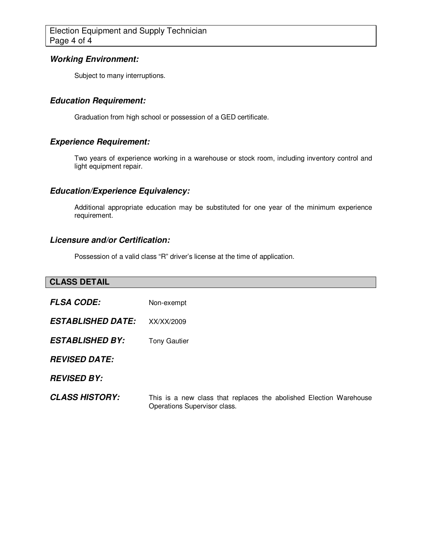#### **Working Environment:**

Subject to many interruptions.

#### **Education Requirement:**

Graduation from high school or possession of a GED certificate.

#### **Experience Requirement:**

Two years of experience working in a warehouse or stock room, including inventory control and light equipment repair.

#### **Education/Experience Equivalency:**

Additional appropriate education may be substituted for one year of the minimum experience requirement.

#### **Licensure and/or Certification:**

Possession of a valid class "R" driver's license at the time of application.

### **CLASS DETAIL**

| <b>FLSA CODE:</b>        | Non-exempt          |
|--------------------------|---------------------|
| <b>ESTABLISHED DATE:</b> | XX/XX/2009          |
| <b>ESTABLISHED BY:</b>   | <b>Tony Gautier</b> |
| <b>REVISED DATE:</b>     |                     |
| <b>REVISED BY:</b>       |                     |
| <b>CLASS HISTORY:</b>    | This is a nev       |

v class that replaces the abolished Election Warehouse Operations Supervisor class.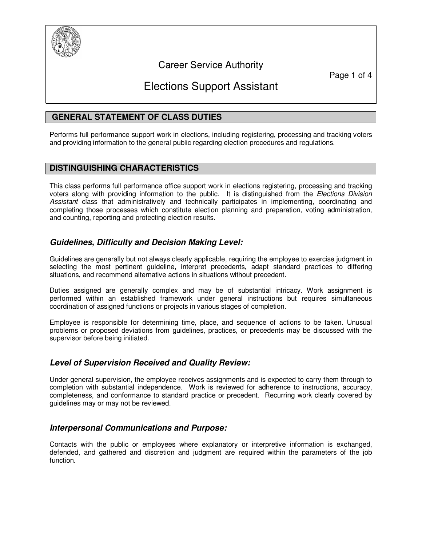

### Career Service Authority

Page 1 of 4

# Elections Support Assistant

#### **GENERAL STATEMENT OF CLASS DUTIES**

Performs full performance support work in elections, including registering, processing and tracking voters and providing information to the general public regarding election procedures and regulations.

#### **DISTINGUISHING CHARACTERISTICS**

This class performs full performance office support work in elections registering, processing and tracking voters along with providing information to the public. It is distinguished from the Elections Division Assistant class that administratively and technically participates in implementing, coordinating and completing those processes which constitute election planning and preparation, voting administration, and counting, reporting and protecting election results.

#### **Guidelines, Difficulty and Decision Making Level:**

Guidelines are generally but not always clearly applicable, requiring the employee to exercise judgment in selecting the most pertinent guideline, interpret precedents, adapt standard practices to differing situations, and recommend alternative actions in situations without precedent.

Duties assigned are generally complex and may be of substantial intricacy. Work assignment is performed within an established framework under general instructions but requires simultaneous coordination of assigned functions or projects in various stages of completion.

Employee is responsible for determining time, place, and sequence of actions to be taken. Unusual problems or proposed deviations from guidelines, practices, or precedents may be discussed with the supervisor before being initiated.

#### **Level of Supervision Received and Quality Review:**

Under general supervision, the employee receives assignments and is expected to carry them through to completion with substantial independence. Work is reviewed for adherence to instructions, accuracy, completeness, and conformance to standard practice or precedent. Recurring work clearly covered by guidelines may or may not be reviewed.

#### **Interpersonal Communications and Purpose:**

Contacts with the public or employees where explanatory or interpretive information is exchanged, defended, and gathered and discretion and judgment are required within the parameters of the job function.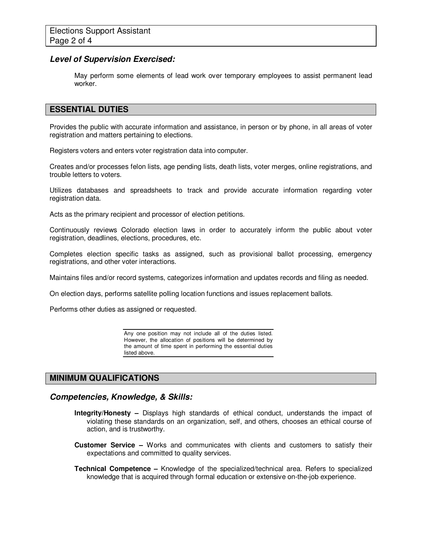#### **Level of Supervision Exercised:**

May perform some elements of lead work over temporary employees to assist permanent lead worker.

#### **ESSENTIAL DUTIES**

Provides the public with accurate information and assistance, in person or by phone, in all areas of voter registration and matters pertaining to elections.

Registers voters and enters voter registration data into computer.

Creates and/or processes felon lists, age pending lists, death lists, voter merges, online registrations, and trouble letters to voters.

Utilizes databases and spreadsheets to track and provide accurate information regarding voter registration data.

Acts as the primary recipient and processor of election petitions.

Continuously reviews Colorado election laws in order to accurately inform the public about voter registration, deadlines, elections, procedures, etc.

Completes election specific tasks as assigned, such as provisional ballot processing, emergency registrations, and other voter interactions.

Maintains files and/or record systems, categorizes information and updates records and filing as needed.

On election days, performs satellite polling location functions and issues replacement ballots.

Performs other duties as assigned or requested.

Any one position may not include all of the duties listed. However, the allocation of positions will be determined by the amount of time spent in performing the essential duties listed above.

#### **MINIMUM QUALIFICATIONS**

#### **Competencies, Knowledge, & Skills:**

- **Integrity/Honesty** Displays high standards of ethical conduct, understands the impact of violating these standards on an organization, self, and others, chooses an ethical course of action, and is trustworthy.
- **Customer Service** Works and communicates with clients and customers to satisfy their expectations and committed to quality services.
- **Technical Competence** Knowledge of the specialized/technical area. Refers to specialized knowledge that is acquired through formal education or extensive on-the-job experience.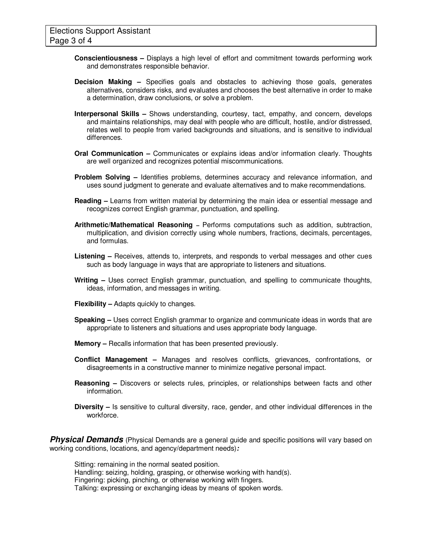- **Conscientiousness** Displays a high level of effort and commitment towards performing work and demonstrates responsible behavior.
- **Decision Making** Specifies goals and obstacles to achieving those goals, generates alternatives, considers risks, and evaluates and chooses the best alternative in order to make a determination, draw conclusions, or solve a problem.
- **Interpersonal Skills** Shows understanding, courtesy, tact, empathy, and concern, develops and maintains relationships, may deal with people who are difficult, hostile, and/or distressed, relates well to people from varied backgrounds and situations, and is sensitive to individual differences.
- **Oral Communication** Communicates or explains ideas and/or information clearly. Thoughts are well organized and recognizes potential miscommunications.
- **Problem Solving** Identifies problems, determines accuracy and relevance information, and uses sound judgment to generate and evaluate alternatives and to make recommendations.
- **Reading** Learns from written material by determining the main idea or essential message and recognizes correct English grammar, punctuation, and spelling.
- **Arithmetic/Mathematical Reasoning** Performs computations such as addition, subtraction, multiplication, and division correctly using whole numbers, fractions, decimals, percentages, and formulas.
- **Listening** Receives, attends to, interprets, and responds to verbal messages and other cues such as body language in ways that are appropriate to listeners and situations.
- **Writing** Uses correct English grammar, punctuation, and spelling to communicate thoughts, ideas, information, and messages in writing.
- **Flexibility** Adapts quickly to changes.
- **Speaking** Uses correct English grammar to organize and communicate ideas in words that are appropriate to listeners and situations and uses appropriate body language.
- **Memory** Recalls information that has been presented previously.
- **Conflict Management** Manages and resolves conflicts, grievances, confrontations, or disagreements in a constructive manner to minimize negative personal impact.
- **Reasoning** Discovers or selects rules, principles, or relationships between facts and other information.
- **Diversity** Is sensitive to cultural diversity, race, gender, and other individual differences in the workforce.

**Physical Demands** (Physical Demands are a general guide and specific positions will vary based on working conditions, locations, and agency/department needs)**:** 

Sitting: remaining in the normal seated position. Handling: seizing, holding, grasping, or otherwise working with hand(s). Fingering: picking, pinching, or otherwise working with fingers. Talking: expressing or exchanging ideas by means of spoken words.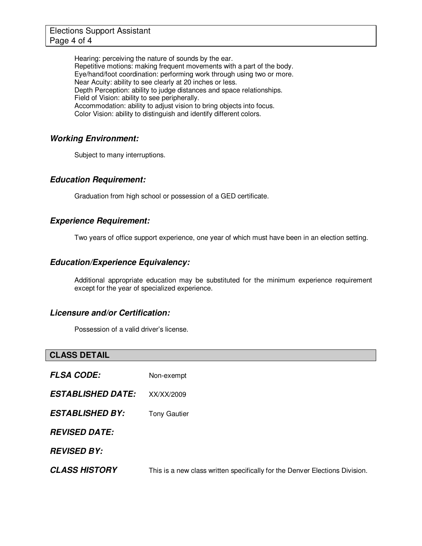Hearing: perceiving the nature of sounds by the ear. Repetitive motions: making frequent movements with a part of the body. Eye/hand/foot coordination: performing work through using two or more. Near Acuity: ability to see clearly at 20 inches or less. Depth Perception: ability to judge distances and space relationships. Field of Vision: ability to see peripherally. Accommodation: ability to adjust vision to bring objects into focus. Color Vision: ability to distinguish and identify different colors.

#### **Working Environment:**

Subject to many interruptions.

#### **Education Requirement:**

Graduation from high school or possession of a GED certificate.

#### **Experience Requirement:**

Two years of office support experience, one year of which must have been in an election setting.

#### **Education/Experience Equivalency:**

Additional appropriate education may be substituted for the minimum experience requirement except for the year of specialized experience.

#### **Licensure and/or Certification:**

Possession of a valid driver's license.

#### **CLASS DETAIL**

| <b>FLSA CODE:</b>               | Non-exempt                                                                  |
|---------------------------------|-----------------------------------------------------------------------------|
| <i><b>ESTABLISHED DATE:</b></i> | XX/XX/2009                                                                  |
| <b>ESTABLISHED BY:</b>          | <b>Tony Gautier</b>                                                         |
| <i><b>REVISED DATE:</b></i>     |                                                                             |
| <b>REVISED BY:</b>              |                                                                             |
| <b>CLASS HISTORY</b>            | This is a new class written specifically for the Denver Elections Division. |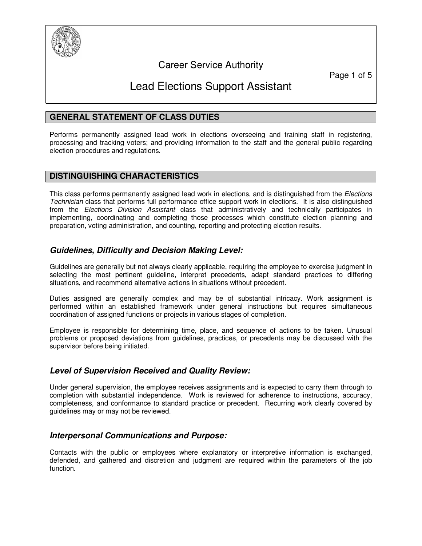

# Career Service Authority

Page 1 of 5

# Lead Elections Support Assistant

#### **GENERAL STATEMENT OF CLASS DUTIES**

Performs permanently assigned lead work in elections overseeing and training staff in registering, processing and tracking voters; and providing information to the staff and the general public regarding election procedures and regulations.

#### **DISTINGUISHING CHARACTERISTICS**

This class performs permanently assigned lead work in elections, and is distinguished from the Elections Technician class that performs full performance office support work in elections. It is also distinguished from the Elections Division Assistant class that administratively and technically participates in implementing, coordinating and completing those processes which constitute election planning and preparation, voting administration, and counting, reporting and protecting election results.

#### **Guidelines, Difficulty and Decision Making Level:**

Guidelines are generally but not always clearly applicable, requiring the employee to exercise judgment in selecting the most pertinent guideline, interpret precedents, adapt standard practices to differing situations, and recommend alternative actions in situations without precedent.

Duties assigned are generally complex and may be of substantial intricacy. Work assignment is performed within an established framework under general instructions but requires simultaneous coordination of assigned functions or projects in various stages of completion.

Employee is responsible for determining time, place, and sequence of actions to be taken. Unusual problems or proposed deviations from guidelines, practices, or precedents may be discussed with the supervisor before being initiated.

#### **Level of Supervision Received and Quality Review:**

Under general supervision, the employee receives assignments and is expected to carry them through to completion with substantial independence. Work is reviewed for adherence to instructions, accuracy, completeness, and conformance to standard practice or precedent. Recurring work clearly covered by guidelines may or may not be reviewed.

#### **Interpersonal Communications and Purpose:**

Contacts with the public or employees where explanatory or interpretive information is exchanged, defended, and gathered and discretion and judgment are required within the parameters of the job function.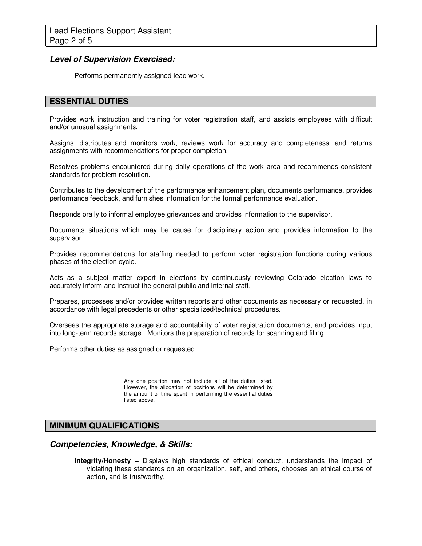#### **Level of Supervision Exercised:**

Performs permanently assigned lead work.

#### **ESSENTIAL DUTIES**

Provides work instruction and training for voter registration staff, and assists employees with difficult and/or unusual assignments.

Assigns, distributes and monitors work, reviews work for accuracy and completeness, and returns assignments with recommendations for proper completion.

Resolves problems encountered during daily operations of the work area and recommends consistent standards for problem resolution.

Contributes to the development of the performance enhancement plan, documents performance, provides performance feedback, and furnishes information for the formal performance evaluation.

Responds orally to informal employee grievances and provides information to the supervisor.

Documents situations which may be cause for disciplinary action and provides information to the supervisor.

Provides recommendations for staffing needed to perform voter registration functions during various phases of the election cycle.

Acts as a subject matter expert in elections by continuously reviewing Colorado election laws to accurately inform and instruct the general public and internal staff.

Prepares, processes and/or provides written reports and other documents as necessary or requested, in accordance with legal precedents or other specialized/technical procedures.

Oversees the appropriate storage and accountability of voter registration documents, and provides input into long-term records storage. Monitors the preparation of records for scanning and filing.

Performs other duties as assigned or requested.

Any one position may not include all of the duties listed. However, the allocation of positions will be determined by the amount of time spent in performing the essential duties listed above.

#### **MINIMUM QUALIFICATIONS**

#### **Competencies, Knowledge, & Skills:**

**Integrity/Honesty –** Displays high standards of ethical conduct, understands the impact of violating these standards on an organization, self, and others, chooses an ethical course of action, and is trustworthy.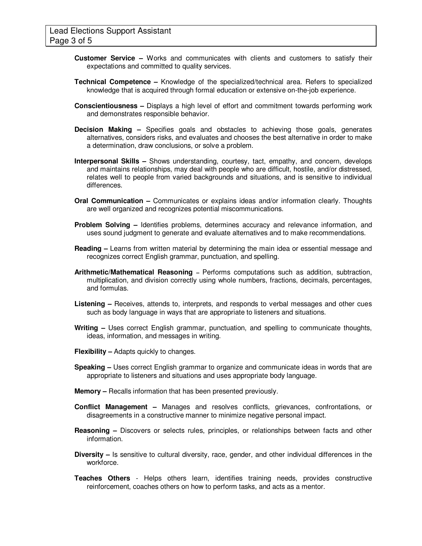- **Customer Service** Works and communicates with clients and customers to satisfy their expectations and committed to quality services.
- **Technical Competence** Knowledge of the specialized/technical area. Refers to specialized knowledge that is acquired through formal education or extensive on-the-job experience.
- **Conscientiousness** Displays a high level of effort and commitment towards performing work and demonstrates responsible behavior.
- **Decision Making** Specifies goals and obstacles to achieving those goals, generates alternatives, considers risks, and evaluates and chooses the best alternative in order to make a determination, draw conclusions, or solve a problem.
- **Interpersonal Skills** Shows understanding, courtesy, tact, empathy, and concern, develops and maintains relationships, may deal with people who are difficult, hostile, and/or distressed, relates well to people from varied backgrounds and situations, and is sensitive to individual differences.
- **Oral Communication** Communicates or explains ideas and/or information clearly. Thoughts are well organized and recognizes potential miscommunications.
- **Problem Solving** Identifies problems, determines accuracy and relevance information, and uses sound judgment to generate and evaluate alternatives and to make recommendations.
- **Reading** Learns from written material by determining the main idea or essential message and recognizes correct English grammar, punctuation, and spelling.
- **Arithmetic/Mathematical Reasoning** Performs computations such as addition, subtraction, multiplication, and division correctly using whole numbers, fractions, decimals, percentages, and formulas.
- **Listening** Receives, attends to, interprets, and responds to verbal messages and other cues such as body language in ways that are appropriate to listeners and situations.
- **Writing** Uses correct English grammar, punctuation, and spelling to communicate thoughts, ideas, information, and messages in writing.
- **Flexibility** Adapts quickly to changes.
- **Speaking** Uses correct English grammar to organize and communicate ideas in words that are appropriate to listeners and situations and uses appropriate body language.
- **Memory** Recalls information that has been presented previously.
- **Conflict Management** Manages and resolves conflicts, grievances, confrontations, or disagreements in a constructive manner to minimize negative personal impact.
- **Reasoning** Discovers or selects rules, principles, or relationships between facts and other information.
- **Diversity** Is sensitive to cultural diversity, race, gender, and other individual differences in the workforce.
- **Teaches Others**  Helps others learn, identifies training needs, provides constructive reinforcement, coaches others on how to perform tasks, and acts as a mentor.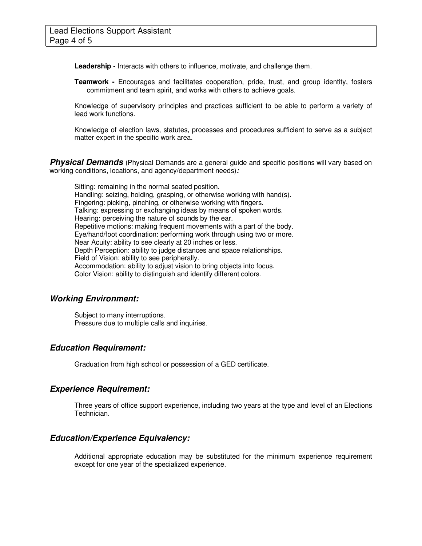**Leadership -** Interacts with others to influence, motivate, and challenge them.

**Teamwork -** Encourages and facilitates cooperation, pride, trust, and group identity, fosters commitment and team spirit, and works with others to achieve goals.

Knowledge of supervisory principles and practices sufficient to be able to perform a variety of lead work functions.

Knowledge of election laws, statutes, processes and procedures sufficient to serve as a subject matter expert in the specific work area.

**Physical Demands** (Physical Demands are a general guide and specific positions will vary based on working conditions, locations, and agency/department needs)**:** 

Sitting: remaining in the normal seated position. Handling: seizing, holding, grasping, or otherwise working with hand(s). Fingering: picking, pinching, or otherwise working with fingers. Talking: expressing or exchanging ideas by means of spoken words. Hearing: perceiving the nature of sounds by the ear. Repetitive motions: making frequent movements with a part of the body. Eye/hand/foot coordination: performing work through using two or more. Near Acuity: ability to see clearly at 20 inches or less. Depth Perception: ability to judge distances and space relationships. Field of Vision: ability to see peripherally. Accommodation: ability to adjust vision to bring objects into focus. Color Vision: ability to distinguish and identify different colors.

#### **Working Environment:**

Subject to many interruptions. Pressure due to multiple calls and inquiries.

#### **Education Requirement:**

Graduation from high school or possession of a GED certificate.

#### **Experience Requirement:**

Three years of office support experience, including two years at the type and level of an Elections Technician.

#### **Education/Experience Equivalency:**

Additional appropriate education may be substituted for the minimum experience requirement except for one year of the specialized experience.